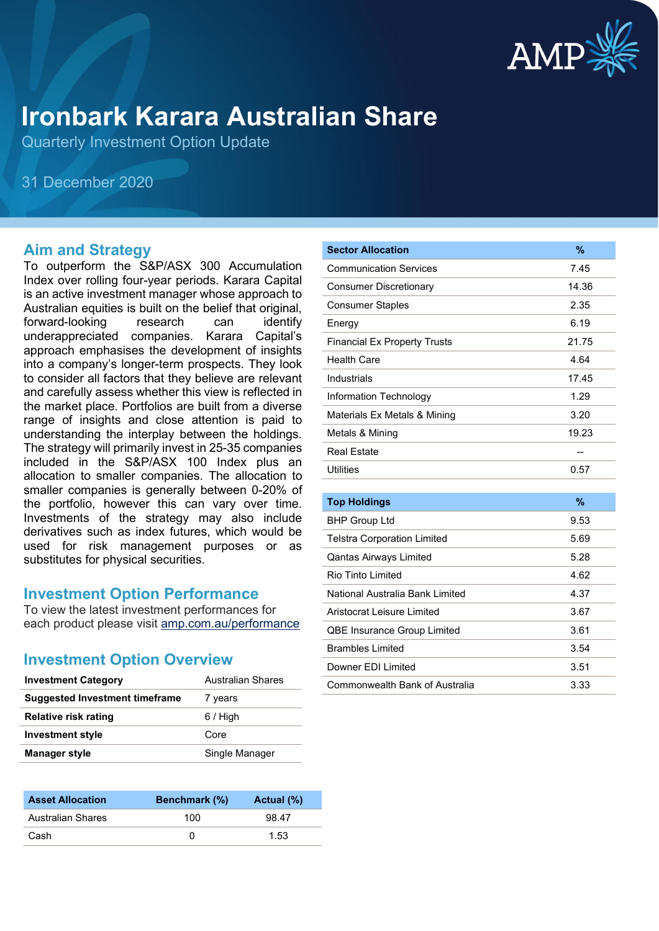

# **Ironbark Karara Australian Share**

Quarterly Investment Option Update

31 December 2020

#### **Aim and Strategy**

To outperform the S&P/ASX 300 Accumulation Index over rolling four-year periods. Karara Capital is an active investment manager whose approach to Australian equities is built on the belief that original, forward-looking research can identify underappreciated companies. Karara Capital's approach emphasises the development of insights into a company's longer-term prospects. They look to consider all factors that they believe are relevant and carefully assess whether this view is reflected in the market place. Portfolios are built from a diverse range of insights and close attention is paid to understanding the interplay between the holdings. The strategy will primarily invest in 25-35 companies included in the S&P/ASX 100 Index plus an allocation to smaller companies. The allocation to smaller companies is generally between 0-20% of the portfolio, however this can vary over time. Investments of the strategy may also include derivatives such as index futures, which would be used for risk management purposes or as substitutes for physical securities.

#### **Investment Option Performance**

To view the latest investment performances for each product please visit [amp.com.au/performance](https://www.amp.com.au/performance)

#### **Investment Option Overview**

| <b>Investment Category</b>            | Australian Shares | <b>Commonwealth Bank of Australia</b> | 3.33 |
|---------------------------------------|-------------------|---------------------------------------|------|
| <b>Suggested Investment timeframe</b> | years             |                                       |      |
| <b>Relative risk rating</b>           | $6/$ High         |                                       |      |
| <b>Investment style</b>               | Core              |                                       |      |
| Manager style                         | Single Manager    |                                       |      |
|                                       |                   |                                       |      |

| <b>Asset Allocation</b>  | <b>Benchmark</b> (%) | Actual (%) |
|--------------------------|----------------------|------------|
| <b>Australian Shares</b> | 100                  | 98.47      |
| Cash                     |                      | 1.53       |

| <b>Sector Allocation</b>            | %             |
|-------------------------------------|---------------|
| <b>Communication Services</b>       | 7.45          |
| <b>Consumer Discretionary</b>       | 14.36         |
| <b>Consumer Staples</b>             | 2.35          |
| Energy                              | 6.19          |
| <b>Financial Ex Property Trusts</b> | 21.75         |
| <b>Health Care</b>                  | 4.64          |
| Industrials                         | 17.45         |
| Information Technology              | 1.29          |
| Materials Ex Metals & Mining        | 3.20          |
| Metals & Mining                     | 19.23         |
| <b>Real Estate</b>                  | --            |
| <b>Utilities</b>                    | 0.57          |
|                                     |               |
| <b>Top Holdings</b>                 | $\frac{9}{6}$ |
| <b>BHP Group Ltd</b>                | 9.53          |
| <b>Telstra Corporation Limited</b>  | 5.69          |
| <b>Qantas Airways Limited</b>       | 5.28          |
| <b>Rio Tinto Limited</b>            | 4.62          |
| National Australia Bank Limited     | 4.37          |
| Aristocrat Leisure Limited          | 3.67          |
| <b>QBE Insurance Group Limited</b>  | 3.61          |
| <b>Brambles Limited</b>             | 3.54          |
| Downer EDI Limited                  | 3.51          |
| Commonwealth Bank of Australia      | 3.33          |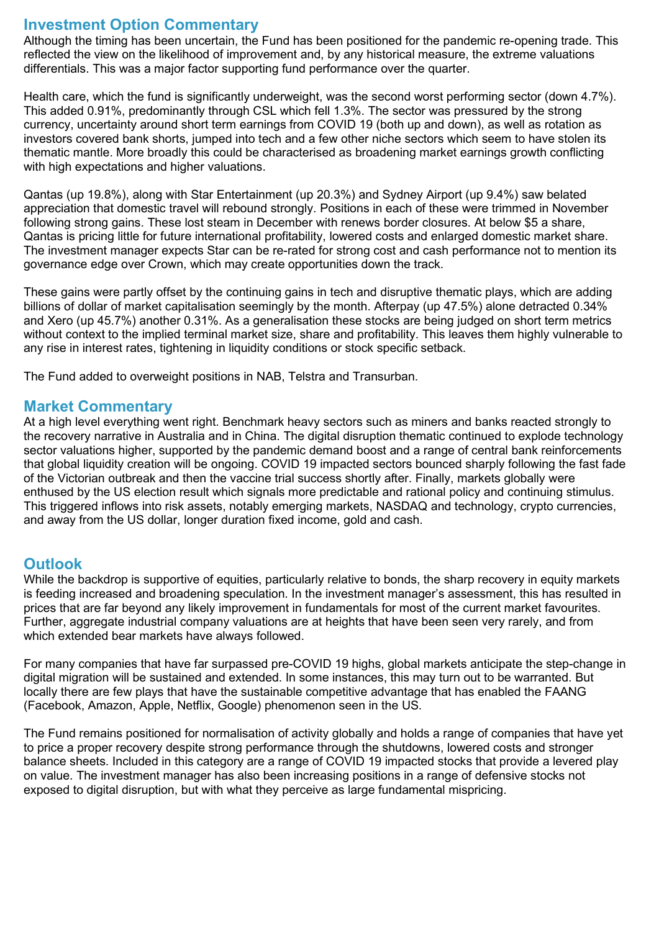## **Investment Option Commentary**

Although the timing has been uncertain, the Fund has been positioned for the pandemic re-opening trade. This reflected the view on the likelihood of improvement and, by any historical measure, the extreme valuations differentials. This was a major factor supporting fund performance over the quarter.

Health care, which the fund is significantly underweight, was the second worst performing sector (down 4.7%). This added 0.91%, predominantly through CSL which fell 1.3%. The sector was pressured by the strong currency, uncertainty around short term earnings from COVID 19 (both up and down), as well as rotation as investors covered bank shorts, jumped into tech and a few other niche sectors which seem to have stolen its thematic mantle. More broadly this could be characterised as broadening market earnings growth conflicting with high expectations and higher valuations.

Qantas (up 19.8%), along with Star Entertainment (up 20.3%) and Sydney Airport (up 9.4%) saw belated appreciation that domestic travel will rebound strongly. Positions in each of these were trimmed in November following strong gains. These lost steam in December with renews border closures. At below \$5 a share, Qantas is pricing little for future international profitability, lowered costs and enlarged domestic market share. The investment manager expects Star can be re-rated for strong cost and cash performance not to mention its governance edge over Crown, which may create opportunities down the track.

These gains were partly offset by the continuing gains in tech and disruptive thematic plays, which are adding billions of dollar of market capitalisation seemingly by the month. Afterpay (up 47.5%) alone detracted 0.34% and Xero (up 45.7%) another 0.31%. As a generalisation these stocks are being judged on short term metrics without context to the implied terminal market size, share and profitability. This leaves them highly vulnerable to any rise in interest rates, tightening in liquidity conditions or stock specific setback.

The Fund added to overweight positions in NAB, Telstra and Transurban.

### **Market Commentary**

At a high level everything went right. Benchmark heavy sectors such as miners and banks reacted strongly to the recovery narrative in Australia and in China. The digital disruption thematic continued to explode technology sector valuations higher, supported by the pandemic demand boost and a range of central bank reinforcements that global liquidity creation will be ongoing. COVID 19 impacted sectors bounced sharply following the fast fade of the Victorian outbreak and then the vaccine trial success shortly after. Finally, markets globally were enthused by the US election result which signals more predictable and rational policy and continuing stimulus. This triggered inflows into risk assets, notably emerging markets, NASDAQ and technology, crypto currencies, and away from the US dollar, longer duration fixed income, gold and cash.

### **Outlook**

While the backdrop is supportive of equities, particularly relative to bonds, the sharp recovery in equity markets is feeding increased and broadening speculation. In the investment manager's assessment, this has resulted in prices that are far beyond any likely improvement in fundamentals for most of the current market favourites. Further, aggregate industrial company valuations are at heights that have been seen very rarely, and from which extended bear markets have always followed.

For many companies that have far surpassed pre-COVID 19 highs, global markets anticipate the step-change in digital migration will be sustained and extended. In some instances, this may turn out to be warranted. But locally there are few plays that have the sustainable competitive advantage that has enabled the FAANG (Facebook, Amazon, Apple, Netflix, Google) phenomenon seen in the US.

The Fund remains positioned for normalisation of activity globally and holds a range of companies that have yet to price a proper recovery despite strong performance through the shutdowns, lowered costs and stronger balance sheets. Included in this category are a range of COVID 19 impacted stocks that provide a levered play on value. The investment manager has also been increasing positions in a range of defensive stocks not exposed to digital disruption, but with what they perceive as large fundamental mispricing.